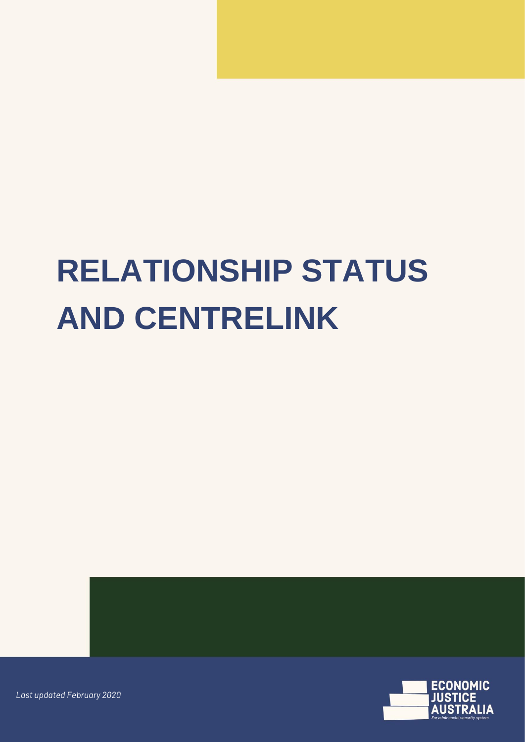# **RELATIONSHIP STATUS AND CENTRELINK**



*Last updated February 2020*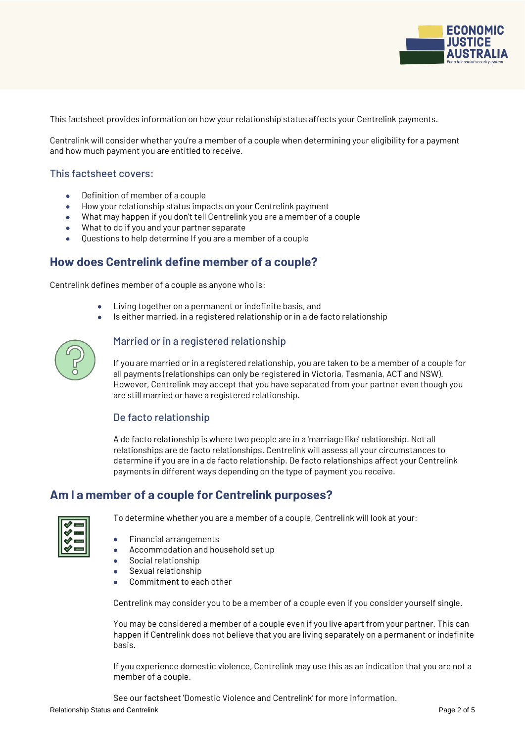

This factsheet provides information on how your relationship status affects your Centrelink payments.

Centrelink will consider whether you're a member of a couple when determining your eligibility for a payment and how much payment you are entitled to receive.

#### This factsheet covers:

- Definition of member of a couple
- How your relationship status impacts on your Centrelink payment
- What may happen if you don't tell Centrelink you are a member of a couple
- What to do if you and your partner separate
- Questions to help determine If you are a member of a couple

## **How does Centrelink define member of a couple?**

Centrelink defines member of a couple as anyone who is:

- Living together on a permanent or indefinite basis, and
- Is either married, in a registered relationship or in a de facto relationship



#### Married or in a registered relationship

If you are married or in a registered relationship, you are taken to be a member of a couple for all payments (relationships can only be registered in Victoria, Tasmania, ACT and NSW). However, Centrelink may accept that you have separated from your partner even though you are still married or have a registered relationship.

#### De facto relationship

A de facto relationship is where two people are in a 'marriage like' relationship. Not all relationships are de facto relationships. Centrelink will assess all your circumstances to determine if you are in a de facto relationship. De facto relationships affect your Centrelink payments in different ways depending on the type of payment you receive.

## **Am I a member of a couple for Centrelink purposes?**

To determine whether you are a member of a couple, Centrelink will look at your:

- Financial arrangements
- Accommodation and household set up
- Social relationship
- Sexual relationship
- Commitment to each other

Centrelink may consider you to be a member of a couple even if you consider yourself single.

You may be considered a member of a couple even if you live apart from your partner. This can happen if Centrelink does not believe that you are living separately on a permanent or indefinite basis.

If you experience domestic violence, Centrelink may use this as an indication that you are not a member of a couple.

Relationship Status and Centrelink **Page 2 of 5** and Centrelink **Page 2** of 5 See our factsheet 'Domestic Violence and Centrelink' for more information.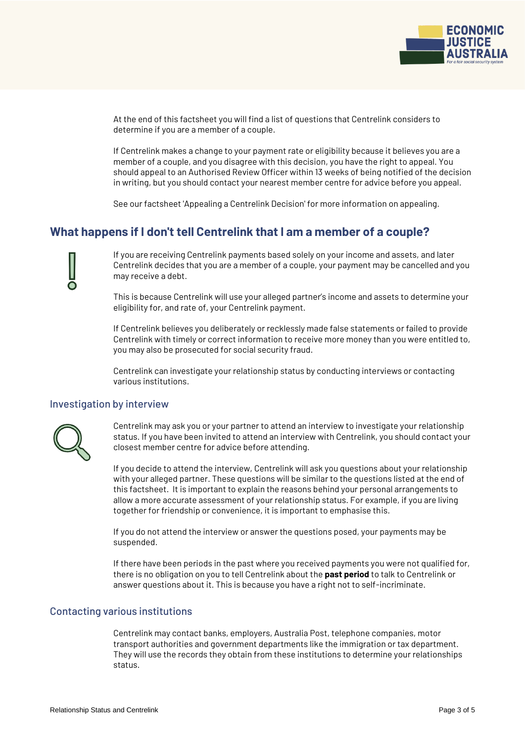

At the end of this factsheet you will find a list of questions that Centrelink considers to determine if you are a member of a couple.

If Centrelink makes a change to your payment rate or eligibility because it believes you are a member of a couple, and you disagree with this decision, you have the right to appeal. You should appeal to an Authorised Review Officer within 13 weeks of being notified of the decision in writing, but you should contact your nearest member centre for advice before you appeal.

See our factsheet 'Appealing a Centrelink Decision' for more information on appealing.

### **What happens if I don't tell Centrelink that I am a member of a couple?**

If you are receiving Centrelink payments based solely on your income and assets, and later Centrelink decides that you are a member of a couple, your payment may be cancelled and you may receive a debt.

This is because Centrelink will use your alleged partner's income and assets to determine your eligibility for, and rate of, your Centrelink payment.

If Centrelink believes you deliberately or recklessly made false statements or failed to provide Centrelink with timely or correct information to receive more money than you were entitled to, you may also be prosecuted for social security fraud.

Centrelink can investigate your relationship status by conducting interviews or contacting various institutions.

#### Investigation by interview



Centrelink may ask you or your partner to attend an interview to investigate your relationship status. If you have been invited to attend an interview with Centrelink, you should contact your closest member centre for advice before attending.

If you decide to attend the interview, Centrelink will ask you questions about your relationship with your alleged partner. These questions will be similar to the questions listed at the end of this factsheet. It is important to explain the reasons behind your personal arrangements to allow a more accurate assessment of your relationship status. For example, if you are living together for friendship or convenience, it is important to emphasise this.

If you do not attend the interview or answer the questions posed, your payments may be suspended.

If there have been periods in the past where you received payments you were not qualified for, there is no obligation on you to tell Centrelink about the **past period** to talk to Centrelink or answer questions about it. This is because you have a right not to self-incriminate.

#### Contacting various institutions

Centrelink may contact banks, employers, Australia Post, telephone companies, motor transport authorities and government departments like the immigration or tax department. They will use the records they obtain from these institutions to determine your relationships status.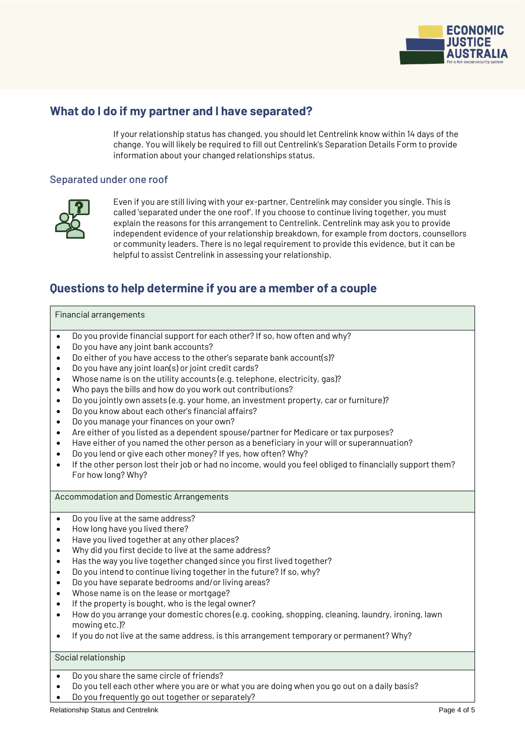

# **What do I do if my partner and I have separated?**

If your relationship status has changed, you should let Centrelink know within 14 days of the change. You will likely be required to fill out Centrelink's Separation Details Form to provide information about your changed relationships status.

#### Separated under one roof



Even if you are still living with your ex-partner, Centrelink may consider you single. This is called 'separated under the one roof'. If you choose to continue living together, you must explain the reasons for this arrangement to Centrelink. Centrelink may ask you to provide independent evidence of your relationship breakdown, for example from doctors, counsellors or community leaders. There is no legal requirement to provide this evidence, but it can be helpful to assist Centrelink in assessing your relationship.

# **Questions to help determine if you are a member of a couple**

#### Financial arrangements

- Do you provide financial support for each other? If so, how often and why?
- Do you have any joint bank accounts?
- Do either of you have access to the other's separate bank account(s)?
- Do you have any joint loan(s) or joint credit cards?
- Whose name is on the utility accounts (e.g. telephone, electricity, gas)?
- Who pays the bills and how do you work out contributions?
- Do you jointly own assets (e.g. your home, an investment property, car or furniture)?
- Do you know about each other's financial affairs?
- Do you manage your finances on your own?
- Are either of you listed as a dependent spouse/partner for Medicare or tax purposes?
- Have either of you named the other person as a beneficiary in your will or superannuation?
- Do you lend or give each other money? If yes, how often? Why?
- If the other person lost their job or had no income, would you feel obliged to financially support them? For how long? Why?

Accommodation and Domestic Arrangements

- Do you live at the same address?
- How long have you lived there?
- Have you lived together at any other places?
- Why did you first decide to live at the same address?
- $\bullet$  Has the way you live together changed since you first lived together?
- Do you intend to continue living together in the future? If so, why?
- Do you have separate bedrooms and/or living areas?
- Whose name is on the lease or mortgage?
- If the property is bought, who is the legal owner?
- How do you arrange your domestic chores (e.g. cooking, shopping, cleaning, laundry, ironing, lawn mowing etc.)?
- If you do not live at the same address, is this arrangement temporary or permanent? Why?

#### Social relationship

- Do you share the same circle of friends?
- Do you tell each other where you are or what you are doing when you go out on a daily basis? Do you frequently go out together or separately?